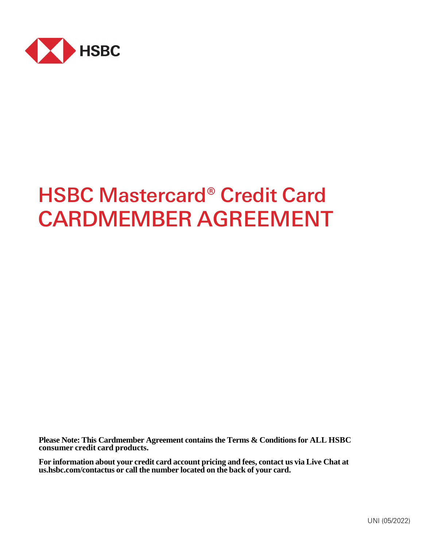

# HSBC Mastercard® Credit Card CARDMEMBER AGREEMENT

**Please Note: This Cardmember Agreement contains the Terms & Conditions for ALL HSBC consumer credit card products.** 

**For information about your credit card account pricing and fees, contact us via Live Chat at us.hsbc.com/contactus or call the number located on the back of your card.**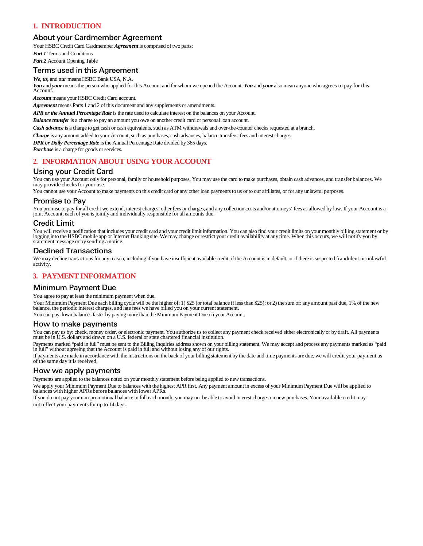# **1. INTRODUCTION**

# About your Cardmember Agreement

Your HSBC Credit Card Cardmember *Agreement* is comprised of two parts:

*Part 1* Terms and Conditions

*Part 2* Account Opening Table

# Terms used in this Agreement

*We, us,* and *our* means HSBC Bank USA, N.A.

You and your means the person who applied for this Account and for whom we opened the Account. You and your also mean anyone who agrees to pay for this Account.

*Account* means your HSBC Credit Card account.

*Agreement* means Parts 1 and 2 of this document and any supplements or amendments.

*APR or the Annual Percentage Rate* is the rate used to calculate interest on the balances on your Account.

*Balance transfer* is a charge to pay an amount you owe on another credit card or personal loan account.

*Cash advance* is a charge to get cash or cash equivalents, such as ATM withdrawals and over-the-counter checks requested at a branch.

*Charge* is any amount added to your Account, such as purchases, cash advances, balance transfers, fees and interest charges.

*DPR or Daily Percentage Rate* is the Annual Percentage Rate divided by 365 days.

*Purchase* is a charge for goods or services.

# **2. INFORMATION ABOUT USING YOUR ACCOUNT**

## Using your Credit Card

You can use your Account only for personal, family or household purposes. You may use the card to make purchases, obtain cash advances, and transfer balances. We may provide checks for your use.

You cannot use your Account to make payments on this credit card or any other loan payments to us or to our affiliates, or for any unlawful purposes.

## Promise to Pay

You promise to pay for all credit we extend, interest charges, other fees or charges, and any collection costs and/or attorneys' fees as allowed by law. If your Account is a joint Account, each of you is jointly and individually responsible for all amounts due.

# Credit Limit

You will receive a notification that includes your credit card and your credit limit information. You can also find your credit limits on your monthly billing statement or by logging into the HSBC mobile app or Internet Banking site. We may change or restrict your credit availability at any time. When this occurs, we will notify you by statement message or by sending a notice.

## Declined Transactions

We may decline transactions for any reason, including if you have insufficient available credit, if the Account is in default, or if there is suspected fraudulent or unlawful activity.

# **3. PAYMENT INFORMATION**

## Minimum Payment Due

You agree to pay at least the minimum payment when due.

Your Minimum Payment Due each billing cycle will be the higher of: 1) \$25 (or total balance if less than \$25); or 2) the sum of: any amount past due, 1% of the new<br>balance, the periodic interest charges, and late fees we h

You can pay down balances faster by paying more than the Minimum Payment Due on your Account.

## How to make payments

You can pay us by: check, money order, or electronic payment. You authorize us to collect any payment check received either electronically or by draft. All payments must be in U.S. dollars and drawn on a U.S. federal or st

Payments marked "paid in full" must be sent to the Billing Inquiries address shown on your billing statement. We may accept and process any payments marked as "paid in full" without agreeing that the Account is paid in full and without losing any of our rights.

If payments are made in accordance with the instructions on the back of your billing statement by the date and time payments are due, we will credit your payment as of the same day it is received.

# How we apply payments

Payments are applied to the balances noted on your monthly statement before being applied to new transactions.

We apply your Minimum Payment Due to balances with the highest APR first. Any payment amount in excess of your Minimum Payment Due will be applied to balances with higher APRs before balances with lower APRs.

If you do not pay your non-promotional balance in full each month, you may not be able to avoid interest charges on new purchases. Your available credit may not reflect your payments for up to 14 days.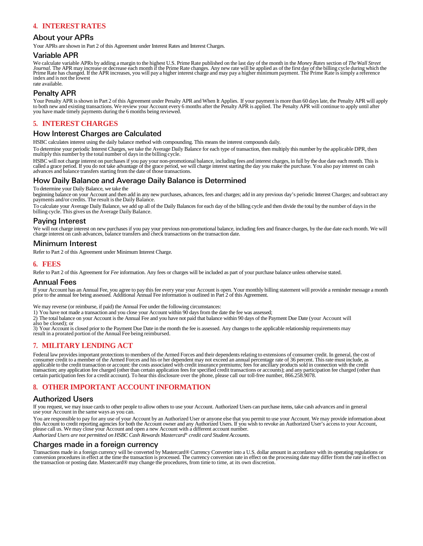# **4. INTEREST RATES**

## About your APRs

Your APRs are shown in Part 2 of this Agreement under Interest Rates and Interest Charges.

#### Variable APR

We calculate variable APRs by adding a margin to the highest U.S. Prime Rate published on the last day of the month in the *Money Rates* section of *The Wall Street*<br>Journal. The APR may increase or decrease each month if Prime Rate has changed. If the APR increases, you will pay a higher interest charge and may pay a higher minimum payment. The Prime Rate is simply a reference index and is not the lowest

rate available.

## Penalty APR

Your Penalty APR is shown in Part 2 of this Agreement under Penalty APR and When It Applies. If your payment is more than 60 days late, the Penalty APR will apply to both new and existing transactions. We review your Account every 6 months after the Penalty APR is applied. The Penalty APR will continue to apply until after<br>you have made timely payments during the 6 months being revi

## **5. INTEREST CHARGES**

## How Interest Charges are Calculated

HSBC calculates interest using the daily balance method with compounding. This means the interest compounds daily.

To determine your periodic Interest Charges, we take the Average Daily Balance for each type of transaction, then multiply this number by the applicable DPR, then multiply this number by the total number of days in the billing cycle.

HSBC will not charge interest on purchases if you pay your non-promotional balance, including fees and interest charges, in full by the due date each month. This is<br>called a grace period. If you do not take advantage of th

## How Daily Balance and Average Daily Balance is Determined

To determine your Daily Balance, we take the

beginning balance on your Account and then add in any new purchases, advances, fees and charges; add in any previous day's periodic Interest Charges; and subtract any payments and/or credits. The result is the Daily Balance.

To calculate your Average Daily Balance, we add up all of the Daily Balances for each day of the billing cycle and then divide the total by the number of days in the billing cycle. This gives us the Average Daily Balance.

# Paying Interest

We will not charge interest on new purchases if you pay your previous non-promotional balance, including fees and finance charges, by the due date each month. We will charge interest on cash advances, balance transfers and check transactions on the transaction date.

## Minimum Interest

Refer to Part 2 of this Agreement under Minimum Interest Charge.

## **6. FEES**

Refer to Part 2 of this Agreement for *Fee* information. Any fees or charges will be included as part of your purchase balance unless otherwise stated.

#### Annual Fees

If your Account has an Annual Fee, you agree to pay this fee every year your Account is open. Your monthly billing statement will provide a reminder message a month<br>prior to the annual fee being assessed. Additional Annual

We may reverse (or reimburse, if paid) the Annual Fee under the following circumstances:

1) You have not made a transaction and you close your Account within 90 days from the date the fee was assessed;

2) The total balance on your Account is the Annual Fee and you have not paid that balance within 90 days of the Payment Due Date (your Account will also be closed); or

3) Your Account is closed prior to the Payment Due Date in the month the fee is assessed. Any changes to the applicable relationship requirements may result in a prorated portion of the Annual Fee being reimbursed.

# **7. MILITARY LENDING ACT**

Federal law provides important protections to members of the Armed Forces and their dependents relating to extensions of consumer credit. In general, the cost of consumer credit to a member of the Armed Forces and his or her dependent may not exceed an annual percentage rate of 36 percent. This rate must include, as applicable to the credit transaction or account: the costs associated with credit insurance premiums; fees for ancillary products sold in connection with the credit transaction; any application fee charged (other than certain application fees for specified credit transactions or accounts); and any participation fee charged (other than<br>certain participation fees for a credit account).

# **8. OTHER IMPORTANT ACCOUNT INFORMATION**

## Authorized Users

If you request, we may issue cards to other people to allow others to use your Account. Authorized Users can purchase items, take cash advances and in general use your Account in the same ways as you can.

You are responsible to pay for any use of your Account by an Authorized User or anyone else that you permit to use your Account. We may provide information about this Account to credit reporting agencies for both the Account owner and any Authorized Users. If you wish to revoke an Authorized User's access to your Account, please call us. We may close your Account and open a new Account with a different account number. *Authorized Users are not permitted on HSBC Cash Rewards Mastercard® credit card Student Accounts.* 

## Charges made in a foreign currency

Transactions made in a foreign currency will be converted by Mastercard® Currency Converter into a U.S. dollar amount in accordance with its operating regulations or conversion procedures in effect at the time the transaction is processed. The currency conversion rate in effect on the processing date may differ from the rate in effect on the transaction or posting date. Mastercard® may change the procedures, from time to time, at its own discretion.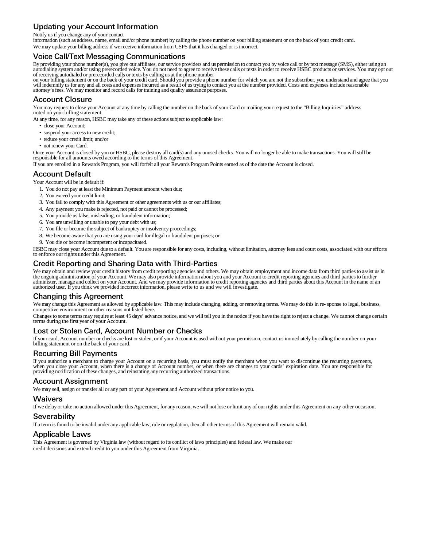# Updating your Account Information

Notify us if you change any of your contact

information (such as address, name, email and/or phone number) by calling the phone number on your billing statement or on the back of your credit card. We may update your billing address if we receive information from USPS that it has changed or is incorrect.

# Voice Call/Text Messaging Communications

By providing your phone number(s), you give our affiliates, our service providers and us permission to contact you by voice call or by text message (SMS), either using an<br>autodialing system and/or using prerecorded voice. of receiving autodialed or prerecorded calls or texts by calling us at the phone number

on your billing statement or on the back of your credit card. Should you provide a phone number for which you are not the subscriber, you understand and agree that you will indemnify us for any and all costs and expenses incurred as a result of us trying to contact you at the number provided. Costs and expenses include reasonable attorney's fees. We may monitor and record calls for training and quality assurance purposes.

## Account Closure

You may request to close your Account at any time by calling the number on the back of your Card or mailing your request to the "Billing Inquiries" address noted on your billing statement.

At any time, for any reason, HSBC may take any of these actions subject to applicable law:

- close your Account;
- suspend your access to new credit;
- reduce your credit limit; and/or
- not renew your Card.

Once your Account is closed by you or HSBC, please destroy all card(s) and any unused checks. You will no longer be able to make transactions. You will still be responsible for all amounts owed according to the terms of this Agreement.

If you are enrolled in a Rewards Program, you will forfeit all your Rewards Program Points earned as of the date the Account is closed.

# Account Default

Your Account will be in default if:

- 1. You do not pay at least the Minimum Payment amount when due;
- 2. You exceed your credit limit;
- 3. You fail to comply with this Agreement or other agreements with us or our affiliates;
- 4. Any payment you make is rejected, not paid or cannot be processed;
- 5. You provide us false, misleading, or fraudulent information;
- 6. You are unwilling or unable to pay your debt with us;
- 7. You file or become the subject of bankruptcy or insolvency proceedings;
- 8. We become aware that you are using your card for illegal or fraudulent purposes; or
- 9. You die or become incompetent or incapacitated.

HSBC may close your Account due to a default. You are responsible for any costs, including, without limitation, attorney fees and court costs, associated with our efforts to enforce our rights under this Agreement.

# Credit Reporting and Sharing Data with Third-Parties

We may obtain and review your credit history from credit reporting agencies and others. We may obtain employment and income data from third parties to assist us in<br>the ongoing administration of your Account. We may also pr

## Changing this Agreement

We may change this Agreement as allowed by applicable law. This may include changing, adding, or removing terms. We may do this in re- sponse to legal, business, competitive environment or other reasons not listed here.

Changes to some terms may require at least 45 days' advance notice, and we will tell you in the notice if you have the right to reject a change. We cannot change certain terms during the first year of your Account.

# Lost or Stolen Card, Account Number or Checks

If your card, Account number or checks are lost or stolen, or if your Account is used without your permission, contact us immediately by calling the number on your billing statement or on the back of your card.

# Recurring Bill Payments

If you authorize a merchant to charge your Account on a recurring basis, you must notify the merchant when you want to discontinue the recurring payments,<br>when you close your Account, when there is a change of Account numb providing notification of these changes, and reinstating any recurring authorized transactions.

# Account Assignment

We may sell, assign or transfer all or any part of your Agreement and Account without prior notice to you.

## **Waivers**

If we delay or take no action allowed under this Agreement, for any reason, we will not lose or limit any of our rights under this Agreement on any other occasion.

## **Severability**

If a term is found to be invalid under any applicable law, rule or regulation, then all other terms of this Agreement will remain valid.

# Applicable Laws

This Agreement is governed by Virginia law (without regard to its conflict of laws principles) and federal law. We make our credit decisions and extend credit to you under this Agreement from Virginia.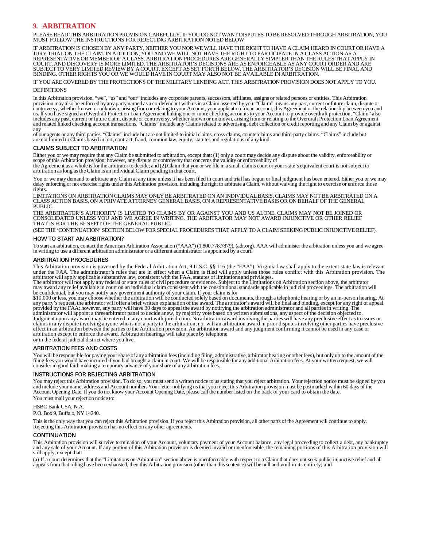## **9. ARBITRATION**

PLEASE READ THIS ARBITRATION PROVISION CAREFULLY. IF YOU DO NOT WANT DISPUTES TO BE RESOLVED THROUGH ARBITRATION, YOU MUST FOLLOW THE INSTRUCTIONS FOR REJECTING ARBITRATION NOTED BELOW

IF ARBITRATION IS CHOSEN BY ANY PARTY, NEITHER YOU NOR WE WILL HAVE THE RIGHT TO HAVE A CLAIM HEARD IN COURT OR HAVE A<br>JURY TRIAL ON THE CLAIM. IN ADDITION, YOU AND WE WILL NOT HAVE THE RIGHT TO PARTICIPATE IN A CLASS ACTI COURT, AND DISCOVERY IS MORE LIMITED. THE ARBITRATOR'S DECISIONS ARE AS ENFORCEABLE AS ANY COURT ORDER AND ARE<br>SUBJECT TO VERY LIMITED REVIEW BY A COURT. EXCEPT AS SET FORTH BELOW, THE ARBITRATOR'S DECISION WILL BE FINAL A BINDING. OTHER RIGHTS YOU OR WE WOULD HAVE IN COURT MAY ALSO NOT BE AVAILABLE IN ARBITRATION.

IF YOU ARE COVERED BY THE PROTECTIONS OF THE MILITARY LENDING ACT, THIS ARBITRATION PROVISION DOES NOT APPLY TO YOU. **DEFINITIONS** 

In this Arbitration provision, "we", "us" and "our" includes any corporate parents, successors, affiliates, assigns or related persons or entities. This Arbitration provision may also be enforced by any party named as a co-defendant with us in a Claim asserted by you. "Claim" means any past, current or future claim, dispute or controversy, whether known or unknown, arising from or relating to your Account, your application for an account, this Agreement or the relationship between you and us. If you have signed an Overdraft Protection Loan Agreement linking one or more checking accounts to your Account to provide overdraft protection, "Claim" also includes any past, current or future claim, dispute or controversy, whether known or unknown, arising from or relating to the Overdraft Protection Loan Agreement and related linked checking account transactions. "Claims" include any Claims related to advertising, debt collection or credit reporting and any Claim by or against any

of our agents or any third parties. "Claims" include but are not limited to initial claims, cross-claims, counterclaims and third-party claims. "Claims" include but are not limited to Claims based in tort, contract, fraud, common law, equity, statutes and regulations of any kind.

#### LAIMS SUBJECT TO ARBITRATION

Either you or we may require that any Claim be submitted to arbitration, except that: (1) only a court may decide any dispute about the validity, enforceability or scope of this Arbitration provision; however, any dispute or controversy that concerns the validity or enforceability of<br>the Agreement as a whole is for the arbitrator to decide; and (2) Claim that you or we file in a smal

arbitration as long as the Claim is an individual Claim pending in that court.

You or we may demand to arbitrate any Claim at any time unless it has been filed in court and trial has begun or final judgment has been entered. Either you or we may delay enforcing or not exercise rights under this Arbit rights.

LIMITATIONS ON ARBITRATION CLAIMS MAY ONLY BE ARBITRATED ON AN INDIVIDUAL BASIS. CLAIMS MAY NOT BE ARBITRATED ON A CLASS ACTION BASIS, ON A PRIVATE ATTORNEY GENERAL BASIS, ON A REPRESENTATIVE BASIS OR ON BEHALF OF THE GENERAL PUBLIC.

THE ARBITRATOR'S AUTHORITY IS LIMITED TO CLAIMS BY OR AGAINST YOU AND US ALONE. CLAIMS MAY NOT BE JOINED OR CONSOLIDATED UNLESS YOU AND WE AGREE IN WRITING. THE ARBITRATOR MAY NOT AWARD INJUNCTIVE OR OTHER RELIEF THAT IS FOR THE BENEFIT OF THE GENERAL PUBLIC.

(SEE THE 'CONTINUATION' SECTION BELOW FOR SPECIAL PROCEDURES THAT APPLY TO A CLAIM SEEKING PUBLIC INJUNCTIVE RELIEF).

#### HOW TO START AN ARBITRATION?

To start an arbitration, contact the American Arbitration Association ("AAA") (1.800.778.7879), (adr.org). AAA will administer the arbitration unless you and we agree in writing to use a different arbitration administrator or a different administrator is appointed by a court.

#### ARBITRATION PROCEDURES

This Arbitration provision is governed by the Federal Arbitration Act, 9 U.S.C. §§ 116 (the "FAA"). Virginia law shall apply to the extent state law is relevant<br>under the FAA. The administrator's rules that are in effect w arbitrator will apply applicable substantive law, consistent with the FAA, statutes of limitations and privileges.<br>The arbitrator will not apply any federal or state rules of civil procedure or evidence. Subject to the Lim

may award any relief available in court on an individual claim consistent with the constitutional standards applicable in judicial proceedings. The arbitration will be confidential, but you may notify any government authority of your claim. If your claim is for

\$10,000 or less, you may choose whether the arbitration will be conducted solely based on documents, through a telephonic hearing or by an in-person hearing. At any party's request, the arbitrator will offer a brief written explanation of the award. The arbitrator's award will be final and binding, except for any right of appeal provided by the FAA; however, any party will have 30 days to appeal the award by notifying the arbitration administrator and all parties in writing. The<br>administrator will appoint a threearbitrator panel to decide anew, by claims in any dispute involving anyone who is not a party to the arbitration, nor will an arbitration award in prior disputes involving other parties have preclusive effect in an arbitration between the parties to the Arbitration provision. An arbitration award and any judgment confirming it cannot be used in any case or arbitration except to enforce the award. Arbitration hearings will take place by telephone

or in the federal judicial district where you live.

#### ARBITRATION FEES AND COSTS

You will be responsible for paying your share of any arbitration fees (including filing, administrative, arbitrator hearing or other fees), but only up to the amount of the filing fees you would have incurred if you had br

#### INSTRUCTIONS FOR REJECTING ARBITRATION

You may reject this Arbitration provision. To do so, you must send a written notice to us stating that you reject arbitration. Your rejection notice must be signed by you and include your name, address and Account number. Your letter notifying us that you reject this Arbitration provision must be postmarked within 60 days of the<br>Account Opening Date. If you do not know your Account Opening You must mail your rejection notice to:

HSBC Bank USA, N.A.

P.O. Box 9, Buffalo, NY 14240.

This is the only way that you can reject this Arbitration provision. If you reject this Arbitration provision, all other parts of the Agreement will continue to apply. Rejecting this Arbitration provision has no effect on any other agreements.

#### **CONTINUATION**

This Arbitration provision will survive termination of your Account, voluntary payment of your Account balance, any legal proceeding to collect a debt, any bankruptcy and any sale of your Account. If any portion of this Arbitration provision is deemed invalid or unenforceable, the remaining portions of this Arbitration provision will still apply, except that:

(a) If a court determines that the "Limitations on Arbitration" section above is unenforceable with respect to a Claim that does not seek public injunctive relief and all appeals from that ruling have been exhausted, then this Arbitration provision (other than this sentence) will be null and void in its entirety; and